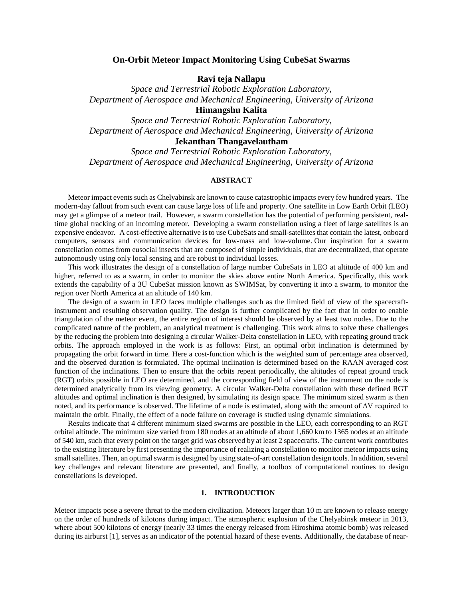## **On-Orbit Meteor Impact Monitoring Using CubeSat Swarms**

**Ravi teja Nallapu**

*Space and Terrestrial Robotic Exploration Laboratory, Department of Aerospace and Mechanical Engineering, University of Arizona*

**Himangshu Kalita**

*Space and Terrestrial Robotic Exploration Laboratory, Department of Aerospace and Mechanical Engineering, University of Arizona*

# **Jekanthan Thangavelautham**

*Space and Terrestrial Robotic Exploration Laboratory, Department of Aerospace and Mechanical Engineering, University of Arizona*

## **ABSTRACT**

Meteor impact events such as Chelyabinsk are known to cause catastrophic impacts every few hundred years. The modern-day fallout from such event can cause large loss of life and property. One satellite in Low Earth Orbit (LEO) may get a glimpse of a meteor trail. However, a swarm constellation has the potential of performing persistent, realtime global tracking of an incoming meteor. Developing a swarm constellation using a fleet of large satellites is an expensive endeavor. A cost-effective alternative is to use CubeSats and small-satellites that contain the latest, onboard computers, sensors and communication devices for low-mass and low-volume. Our inspiration for a swarm constellation comes from eusocial insects that are composed of simple individuals, that are decentralized, that operate autonomously using only local sensing and are robust to individual losses.

This work illustrates the design of a constellation of large number CubeSats in LEO at altitude of 400 km and higher, referred to as a swarm, in order to monitor the skies above entire North America. Specifically, this work extends the capability of a 3U CubeSat mission known as SWIMSat, by converting it into a swarm, to monitor the region over North America at an altitude of 140 km.

The design of a swarm in LEO faces multiple challenges such as the limited field of view of the spacecraftinstrument and resulting observation quality. The design is further complicated by the fact that in order to enable triangulation of the meteor event, the entire region of interest should be observed by at least two nodes. Due to the complicated nature of the problem, an analytical treatment is challenging. This work aims to solve these challenges by the reducing the problem into designing a circular Walker-Delta constellation in LEO, with repeating ground track orbits. The approach employed in the work is as follows: First, an optimal orbit inclination is determined by propagating the orbit forward in time. Here a cost-function which is the weighted sum of percentage area observed, and the observed duration is formulated. The optimal inclination is determined based on the RAAN averaged cost function of the inclinations. Then to ensure that the orbits repeat periodically, the altitudes of repeat ground track (RGT) orbits possible in LEO are determined, and the corresponding field of view of the instrument on the node is determined analytically from its viewing geometry. A circular Walker-Delta constellation with these defined RGT altitudes and optimal inclination is then designed, by simulating its design space. The minimum sized swarm is then noted, and its performance is observed. The lifetime of a node is estimated, along with the amount of ΔV required to maintain the orbit. Finally, the effect of a node failure on coverage is studied using dynamic simulations.

Results indicate that 4 different minimum sized swarms are possible in the LEO, each corresponding to an RGT orbital altitude. The minimum size varied from 180 nodes at an altitude of about 1,660 km to 1365 nodes at an altitude of 540 km, such that every point on the target grid was observed by at least 2 spacecrafts. The current work contributes to the existing literature by first presenting the importance of realizing a constellation to monitor meteor impacts using small satellites. Then, an optimal swarm is designed by using state-of-art constellation design tools. In addition, several key challenges and relevant literature are presented, and finally, a toolbox of computational routines to design constellations is developed.

#### **1. INTRODUCTION**

Meteor impacts pose a severe threat to the modern civilization. Meteors larger than 10 m are known to release energy on the order of hundreds of kilotons during impact. The atmospheric explosion of the Chelyabinsk meteor in 2013, where about 500 kilotons of energy (nearly 33 times the energy released from Hiroshima atomic bomb) was released during its airburst [1], serves as an indicator of the potential hazard of these events. Additionally, the database of near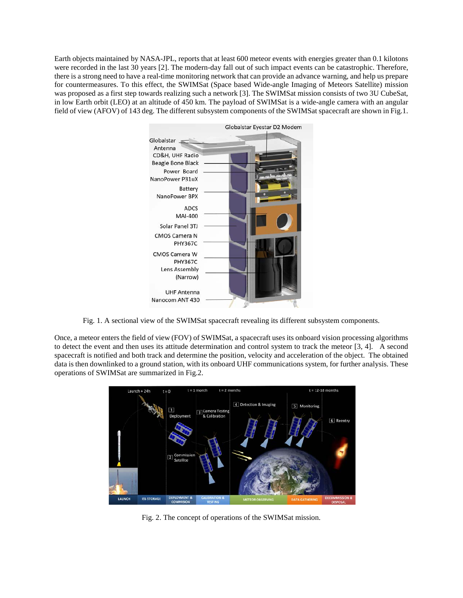Earth objects maintained by NASA-JPL, reports that at least 600 meteor events with energies greater than 0.1 kilotons were recorded in the last 30 years [2]. The modern-day fall out of such impact events can be catastrophic. Therefore, there is a strong need to have a real-time monitoring network that can provide an advance warning, and help us prepare for countermeasures. To this effect, the SWIMSat (Space based Wide-angle Imaging of Meteors Satellite) mission was proposed as a first step towards realizing such a network [3]. The SWIMSat mission consists of two 3U CubeSat, in low Earth orbit (LEO) at an altitude of 450 km. The payload of SWIMSat is a wide-angle camera with an angular field of view (AFOV) of 143 deg. The different subsystem components of the SWIMSat spacecraft are shown in Fig.1.



Fig. 1. A sectional view of the SWIMSat spacecraft revealing its different subsystem components.

Once, a meteor enters the field of view (FOV) of SWIMSat, a spacecraft uses its onboard vision processing algorithms to detect the event and then uses its attitude determination and control system to track the meteor [3, 4]. A second spacecraft is notified and both track and determine the position, velocity and acceleration of the object. The obtained data is then downlinked to a ground station, with its onboard UHF communications system, for further analysis. These operations of SWIMSat are summarized in Fig.2.



Fig. 2. The concept of operations of the SWIMSat mission.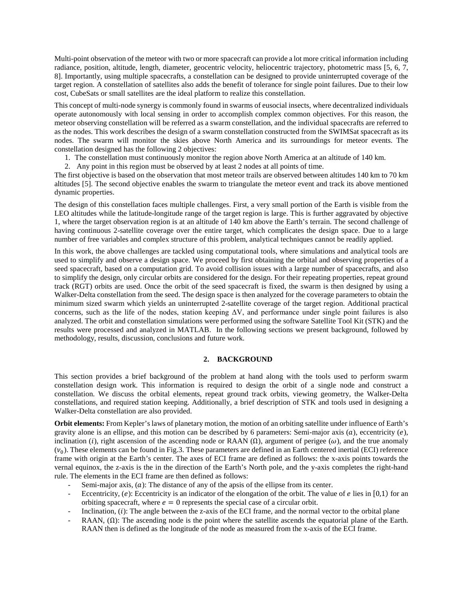Multi-point observation of the meteor with two or more spacecraft can provide a lot more critical information including radiance, position, altitude, length, diameter, geocentric velocity, heliocentric trajectory, photometric mass [5, 6, 7, 8]. Importantly, using multiple spacecrafts, a constellation can be designed to provide uninterrupted coverage of the target region. A constellation of satellites also adds the benefit of tolerance for single point failures. Due to their low cost, CubeSats or small satellites are the ideal platform to realize this constellation.

This concept of multi-node synergy is commonly found in swarms of eusocial insects, where decentralized individuals operate autonomously with local sensing in order to accomplish complex common objectives. For this reason, the meteor observing constellation will be referred as a swarm constellation, and the individual spacecrafts are referred to as the nodes. This work describes the design of a swarm constellation constructed from the SWIMSat spacecraft as its nodes. The swarm will monitor the skies above North America and its surroundings for meteor events. The constellation designed has the following 2 objectives:

- 1. The constellation must continuously monitor the region above North America at an altitude of 140 km.
- 2. Any point in this region must be observed by at least 2 nodes at all points of time.

The first objective is based on the observation that most meteor trails are observed between altitudes 140 km to 70 km altitudes [5]. The second objective enables the swarm to triangulate the meteor event and track its above mentioned dynamic properties.

The design of this constellation faces multiple challenges. First, a very small portion of the Earth is visible from the LEO altitudes while the latitude-longitude range of the target region is large. This is further aggravated by objective 1, where the target observation region is at an altitude of 140 km above the Earth's terrain. The second challenge of having continuous 2-satellite coverage over the entire target, which complicates the design space. Due to a large number of free variables and complex structure of this problem, analytical techniques cannot be readily applied.

In this work, the above challenges are tackled using computational tools, where simulations and analytical tools are used to simplify and observe a design space. We proceed by first obtaining the orbital and observing properties of a seed spacecraft, based on a computation grid. To avoid collision issues with a large number of spacecrafts, and also to simplify the design, only circular orbits are considered for the design. For their repeating properties, repeat ground track (RGT) orbits are used. Once the orbit of the seed spacecraft is fixed, the swarm is then designed by using a Walker-Delta constellation from the seed. The design space is then analyzed for the coverage parameters to obtain the minimum sized swarm which yields an uninterrupted 2-satellite coverage of the target region. Additional practical concerns, such as the life of the nodes, station keeping  $\Delta V$ , and performance under single point failures is also analyzed. The orbit and constellation simulations were performed using the software Satellite Tool Kit (STK) and the results were processed and analyzed in MATLAB. In the following sections we present background, followed by methodology, results, discussion, conclusions and future work.

#### **2. BACKGROUND**

This section provides a brief background of the problem at hand along with the tools used to perform swarm constellation design work. This information is required to design the orbit of a single node and construct a constellation. We discuss the orbital elements, repeat ground track orbits, viewing geometry, the Walker-Delta constellations, and required station keeping. Additionally, a brief description of STK and tools used in designing a Walker-Delta constellation are also provided.

**Orbit elements:** From Kepler's laws of planetary motion, the motion of an orbiting satellite under influence of Earth's gravity alone is an ellipse, and this motion can be described by 6 parameters: Semi-major axis  $(a)$ , eccentricity  $(e)$ , inclination (i), right ascension of the ascending node or RAAN  $(\Omega)$ , argument of perigee ( $\omega$ ), and the true anomaly  $(v_0)$ . These elements can be found in Fig.3. These parameters are defined in an Earth centered inertial (ECI) reference frame with origin at the Earth's center. The axes of ECI frame are defined as follows: the x-axis points towards the vernal equinox, the z-axis is the in the direction of the Earth's North pole, and the y-axis completes the right-hand rule. The elements in the ECI frame are then defined as follows:

- Semi-major axis,  $(a)$ : The distance of any of the apsis of the ellipse from its center.
- Eccentricity,  $(e)$ : Eccentricity is an indicator of the elongation of the orbit. The value of  $e$  lies in [0,1) for an orbiting spacecraft, where  $e = 0$  represents the special case of a circular orbit.
- Inclination,  $(i)$ : The angle between the z-axis of the ECI frame, and the normal vector to the orbital plane
- RAAN,  $(\Omega)$ : The ascending node is the point where the satellite ascends the equatorial plane of the Earth. RAAN then is defined as the longitude of the node as measured from the x-axis of the ECI frame.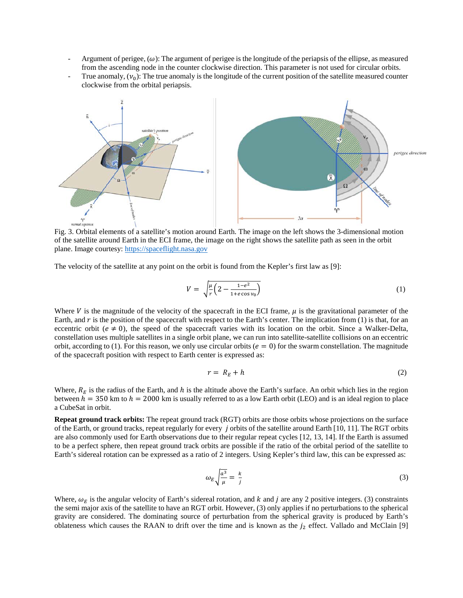- Argument of perigee,  $(\omega)$ : The argument of perigee is the longitude of the periapsis of the ellipse, as measured from the ascending node in the counter clockwise direction. This parameter is not used for circular orbits.
- True anomaly,  $(v_0)$ : The true anomaly is the longitude of the current position of the satellite measured counter clockwise from the orbital periapsis.



Fig. 3. Orbital elements of a satellite's motion around Earth. The image on the left shows the 3-dimensional motion of the satellite around Earth in the ECI frame, the image on the right shows the satellite path as seen in the orbit plane. Image courtesy: [https://spaceflight.nasa.gov](https://spaceflight.nasa.gov/)

The velocity of the satellite at any point on the orbit is found from the Kepler's first law as [9]:

$$
V = \sqrt{\frac{\mu}{r} \left(2 - \frac{1 - e^2}{1 + e \cos v_0}\right)}\tag{1}
$$

Where V is the magnitude of the velocity of the spacecraft in the ECI frame,  $\mu$  is the gravitational parameter of the Earth, and  $r$  is the position of the spacecraft with respect to the Earth's center. The implication from (1) is that, for an eccentric orbit ( $e \neq 0$ ), the speed of the spacecraft varies with its location on the orbit. Since a Walker-Delta, constellation uses multiple satellites in a single orbit plane, we can run into satellite-satellite collisions on an eccentric orbit, according to (1). For this reason, we only use circular orbits ( $e = 0$ ) for the swarm constellation. The magnitude of the spacecraft position with respect to Earth center is expressed as:

$$
r = R_E + h \tag{2}
$$

Where,  $R_E$  is the radius of the Earth, and h is the altitude above the Earth's surface. An orbit which lies in the region between  $h = 350$  km to  $h = 2000$  km is usually referred to as a low Earth orbit (LEO) and is an ideal region to place a CubeSat in orbit.

**Repeat ground track orbits:** The repeat ground track (RGT) orbits are those orbits whose projections on the surface of the Earth, or ground tracks, repeat regularly for every  $\dot{j}$  orbits of the satellite around Earth [10, 11]. The RGT orbits are also commonly used for Earth observations due to their regular repeat cycles [12, 13, 14]. If the Earth is assumed to be a perfect sphere, then repeat ground track orbits are possible if the ratio of the orbital period of the satellite to Earth's sidereal rotation can be expressed as a ratio of 2 integers. Using Kepler's third law, this can be expressed as:

$$
\omega_E \sqrt{\frac{a^3}{\mu}} = \frac{k}{j} \tag{3}
$$

Where,  $\omega_F$  is the angular velocity of Earth's sidereal rotation, and k and j are any 2 positive integers. (3) constraints the semi major axis of the satellite to have an RGT orbit. However, (3) only applies if no perturbations to the spherical gravity are considered. The dominating source of perturbation from the spherical gravity is produced by Earth's oblateness which causes the RAAN to drift over the time and is known as the  $j_2$  effect. Vallado and McClain [9]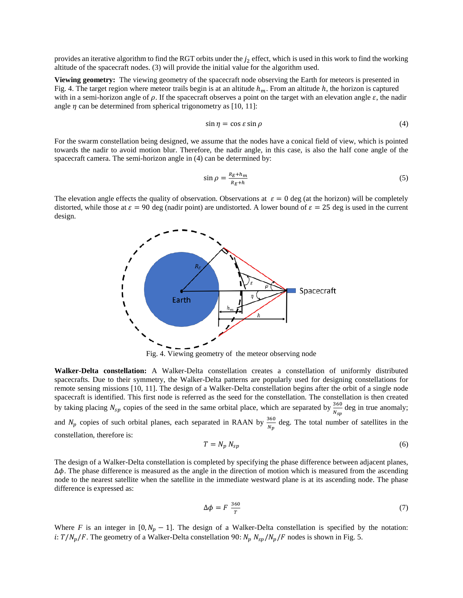provides an iterative algorithm to find the RGT orbits under the  $j_2$  effect, which is used in this work to find the working altitude of the spacecraft nodes. (3) will provide the initial value for the algorithm used.

**Viewing geometry:** The viewing geometry of the spacecraft node observing the Earth for meteors is presented in Fig. 4. The target region where meteor trails begin is at an altitude  $h_m$ . From an altitude h, the horizon is captured with in a semi-horizon angle of  $\rho$ . If the spacecraft observes a point on the target with an elevation angle  $\varepsilon$ , the nadir angle  $\eta$  can be determined from spherical trigonometry as [10, 11]:

$$
\sin \eta = \cos \varepsilon \sin \rho \tag{4}
$$

For the swarm constellation being designed, we assume that the nodes have a conical field of view, which is pointed towards the nadir to avoid motion blur. Therefore, the nadir angle, in this case, is also the half cone angle of the spacecraft camera. The semi-horizon angle in (4) can be determined by:

$$
\sin \rho = \frac{R_E + h_m}{R_E + h} \tag{5}
$$

The elevation angle effects the quality of observation. Observations at  $\varepsilon = 0$  deg (at the horizon) will be completely distorted, while those at  $\varepsilon = 90$  deg (nadir point) are undistorted. A lower bound of  $\varepsilon = 25$  deg is used in the current design.



Fig. 4. Viewing geometry of the meteor observing node

**Walker-Delta constellation:** A Walker-Delta constellation creates a constellation of uniformly distributed spacecrafts. Due to their symmetry, the Walker-Delta patterns are popularly used for designing constellations for remote sensing missions [10, 11]. The design of a Walker-Delta constellation begins after the orbit of a single node spacecraft is identified. This first node is referred as the seed for the constellation. The constellation is then created by taking placing  $N_{sp}$  copies of the seed in the same orbital place, which are separated by  $\frac{360}{N_{sp}}$  deg in true anomaly; and  $N_p$  copies of such orbital planes, each separated in RAAN by  $\frac{360}{N_p}$  deg. The total number of satellites in the constellation, therefore is:

$$
T = N_p N_{sp} \tag{6}
$$

The design of a Walker-Delta constellation is completed by specifying the phase difference between adjacent planes,  $\Delta\phi$ . The phase difference is measured as the angle in the direction of motion which is measured from the ascending node to the nearest satellite when the satellite in the immediate westward plane is at its ascending node. The phase difference is expressed as:

$$
\Delta \phi = F \frac{360}{T} \tag{7}
$$

Where *F* is an integer in  $[0, N_p - 1]$ . The design of a Walker-Delta constellation is specified by the notation: i:  $T / N_p / F$ . The geometry of a Walker-Delta constellation 90:  $N_p N_{sp} / N_p / F$  nodes is shown in Fig. 5.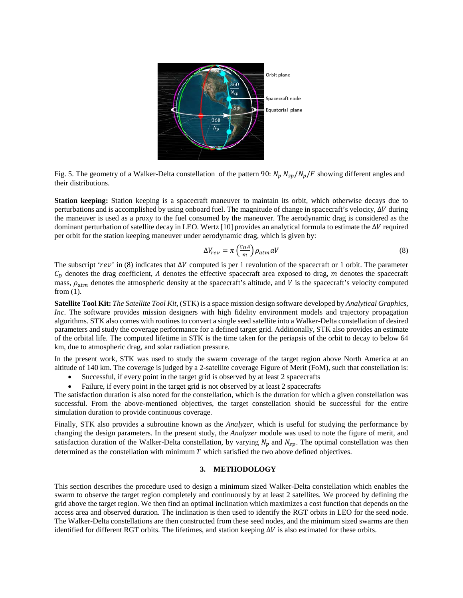

Fig. 5. The geometry of a Walker-Delta constellation of the pattern 90:  $N_p N_{sp}/N_p/F$  showing different angles and their distributions.

**Station keeping:** Station keeping is a spacecraft maneuver to maintain its orbit, which otherwise decays due to perturbations and is accomplished by using onboard fuel. The magnitude of change in spacecraft's velocity,  $\Delta V$  during the maneuver is used as a proxy to the fuel consumed by the maneuver. The aerodynamic drag is considered as the dominant perturbation of satellite decay in LEO. Wertz [10] provides an analytical formula to estimate the  $\Delta V$  required per orbit for the station keeping maneuver under aerodynamic drag, which is given by:

$$
\Delta V_{rev} = \pi \left(\frac{c_D A}{m}\right) \rho_{atm} aV\tag{8}
$$

The subscript ' $rev$ ' in (8) indicates that  $\Delta V$  computed is per 1 revolution of the spacecraft or 1 orbit. The parameter  $C<sub>D</sub>$  denotes the drag coefficient, A denotes the effective spacecraft area exposed to drag,  $m$  denotes the spacecraft mass,  $\rho_{atm}$  denotes the atmospheric density at the spacecraft's altitude, and V is the spacecraft's velocity computed from (1).

**Satellite Tool Kit:** *The Satellite Tool Kit,* (STK) is a space mission design software developed by *Analytical Graphics, Inc*. The software provides mission designers with high fidelity environment models and trajectory propagation algorithms. STK also comes with routines to convert a single seed satellite into a Walker-Delta constellation of desired parameters and study the coverage performance for a defined target grid. Additionally, STK also provides an estimate of the orbital life. The computed lifetime in STK is the time taken for the periapsis of the orbit to decay to below 64 km, due to atmospheric drag, and solar radiation pressure.

In the present work, STK was used to study the swarm coverage of the target region above North America at an altitude of 140 km. The coverage is judged by a 2-satellite coverage Figure of Merit (FoM), such that constellation is:

- Successful, if every point in the target grid is observed by at least 2 spacecrafts<br>• Failure, if every point in the target grid is not observed by at least 2 spacecrafts
- Failure, if every point in the target grid is not observed by at least 2 spacecrafts

The satisfaction duration is also noted for the constellation, which is the duration for which a given constellation was successful. From the above-mentioned objectives, the target constellation should be successful for the entire simulation duration to provide continuous coverage.

Finally, STK also provides a subroutine known as the *Analyzer*, which is useful for studying the performance by changing the design parameters. In the present study, the *Analyzer* module was used to note the figure of merit, and satisfaction duration of the Walker-Delta constellation, by varying  $N_p$  and  $N_{sp}$ . The optimal constellation was then determined as the constellation with minimum  $T$  which satisfied the two above defined objectives.

## **3. METHODOLOGY**

This section describes the procedure used to design a minimum sized Walker-Delta constellation which enables the swarm to observe the target region completely and continuously by at least 2 satellites. We proceed by defining the grid above the target region. We then find an optimal inclination which maximizes a cost function that depends on the access area and observed duration. The inclination is then used to identify the RGT orbits in LEO for the seed node. The Walker-Delta constellations are then constructed from these seed nodes, and the minimum sized swarms are then identified for different RGT orbits. The lifetimes, and station keeping  $\Delta V$  is also estimated for these orbits.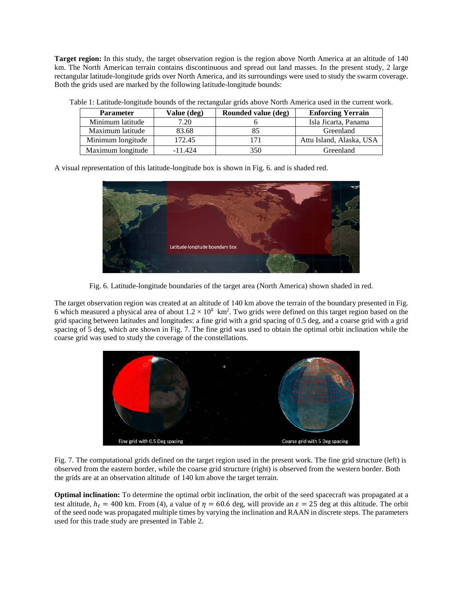**Target region:** In this study, the target observation region is the region above North America at an altitude of 140 km. The North American terrain contains discontinuous and spread out land masses. In the present study, 2 large rectangular latitude-longitude grids over North America, and its surroundings were used to study the swarm coverage. Both the grids used are marked by the following latitude-longitude bounds:

| <b>Parameter</b>  | Value (deg) | Rounded value (deg) | <b>Enforcing Yerrain</b> |
|-------------------|-------------|---------------------|--------------------------|
| Minimum latitude  | 7.20        |                     | Isla Jicarta, Panama     |
| Maximum latitude  | 83.68       |                     | Greenland                |
| Minimum longitude | 172.45      |                     | Attu Island, Alaska, USA |
| Maximum longitude | $-11.424$   | 350                 | Greenland                |

Table 1: Latitude-longitude bounds of the rectangular grids above North America used in the current work.

A visual representation of this latitude-longitude box is shown in Fig. 6. and is shaded red.



Fig. 6. Latitude-longitude boundaries of the target area (North America) shown shaded in red.

The target observation region was created at an altitude of 140 km above the terrain of the boundary presented in Fig. 6 which measured a physical area of about  $1.2 \times 10^8$  km<sup>2</sup>. Two grids were defined on this target region based on the grid spacing between latitudes and longitudes: a fine grid with a grid spacing of 0.5 deg, and a coarse grid with a grid spacing of 5 deg, which are shown in Fig. 7. The fine grid was used to obtain the optimal orbit inclination while the coarse grid was used to study the coverage of the constellations.



Fig. 7. The computational grids defined on the target region used in the present work. The fine grid structure (left) is observed from the eastern border, while the coarse grid structure (right) is observed from the western border. Both the grids are at an observation altitude of 140 km above the target terrain.

**Optimal inclination:** To determine the optimal orbit inclination, the orbit of the seed spacecraft was propagated at a test altitude,  $h_t = 400$  km. From (4), a value of  $\eta = 60.6$  deg, will provide an  $\varepsilon = 25$  deg at this altitude. The orbit of the seed node was propagated multiple times by varying the inclination and RAAN in discrete steps. The parameters used for this trade study are presented in Table 2.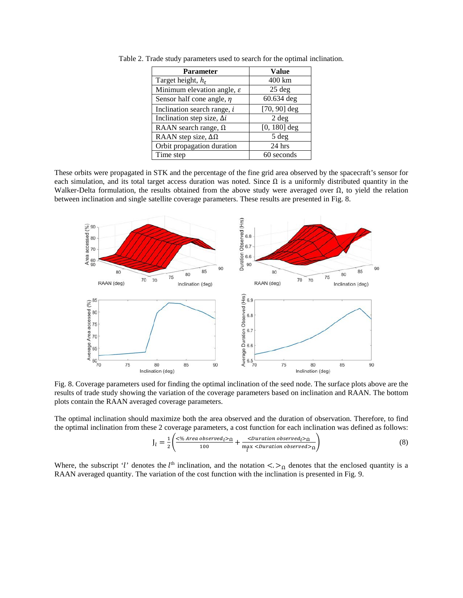| <b>Parameter</b>                       | <b>Value</b>     |
|----------------------------------------|------------------|
| Target height, $h_t$                   | 400 km           |
| Minimum elevation angle, $\varepsilon$ | $25$ deg         |
| Sensor half cone angle, $\eta$         | 60.634 deg       |
| Inclination search range, i            | $[70, 90]$ deg   |
| Inclination step size, $\Delta i$      | 2 <sub>deg</sub> |
| RAAN search range, $\Omega$            | $[0, 180]$ deg   |
| RAAN step size, $\Delta\Omega$         | 5 deg            |
| Orbit propagation duration             | 24 hrs           |
| Time step                              | 60 seconds       |

Table 2. Trade study parameters used to search for the optimal inclination.

These orbits were propagated in STK and the percentage of the fine grid area observed by the spacecraft's sensor for each simulation, and its total target access duration was noted. Since  $\Omega$  is a uniformly distributed quantity in the Walker-Delta formulation, the results obtained from the above study were averaged over  $\Omega$ , to yield the relation between inclination and single satellite coverage parameters. These results are presented in Fig. 8.



Fig. 8. Coverage parameters used for finding the optimal inclination of the seed node. The surface plots above are the results of trade study showing the variation of the coverage parameters based on inclination and RAAN. The bottom plots contain the RAAN averaged coverage parameters.

The optimal inclination should maximize both the area observed and the duration of observation. Therefore, to find the optimal inclination from these 2 coverage parameters, a cost function for each inclination was defined as follows:

$$
J_l = \frac{1}{2} \left( \frac{\langle \frac{6}{3} \text{Area observed}}{100} + \frac{\langle \text{Duration observed}}{20} \rangle_{\Omega}}{\max \langle \text{Duration observed} \rangle_{\Omega}} \right) \tag{8}
$$

Where, the subscript 'l' denotes the l<sup>th</sup> inclination, and the notation  $\langle \rangle_{\Omega}$  denotes that the enclosed quantity is a RAAN averaged quantity. The variation of the cost function with the inclination is presented in Fig. 9.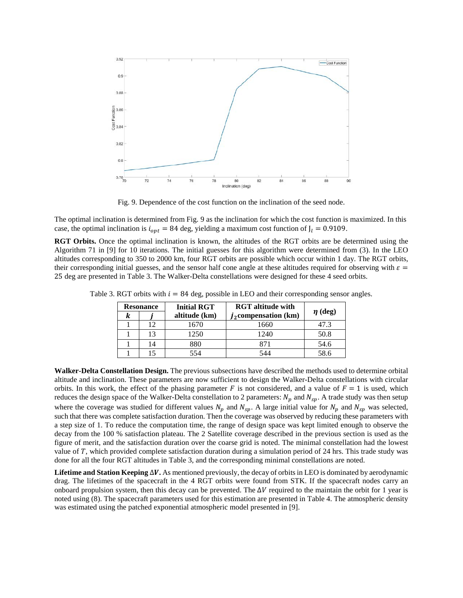

Fig. 9. Dependence of the cost function on the inclination of the seed node.

The optimal inclination is determined from Fig. 9 as the inclination for which the cost function is maximized. In this case, the optimal inclination is  $i_{opt} = 84$  deg, yielding a maximum cost function of  $J_l = 0.9109$ .

**RGT Orbits.** Once the optimal inclination is known, the altitudes of the RGT orbits are be determined using the Algorithm 71 in [9] for 10 iterations. The initial guesses for this algorithm were determined from (3). In the LEO altitudes corresponding to 350 to 2000 km, four RGT orbits are possible which occur within 1 day. The RGT orbits, their corresponding initial guesses, and the sensor half cone angle at these altitudes required for observing with  $\varepsilon =$ 25 deg are presented in Table 3. The Walker-Delta constellations were designed for these 4 seed orbits.

| <b>Resonance</b> |    | <b>Initial RGT</b> | <b>RGT</b> altitude with |              |
|------------------|----|--------------------|--------------------------|--------------|
| k                |    | altitude (km)      | $j_2$ compensation (km)  | $\eta$ (deg) |
|                  | 12 | 1670               | 1660                     | 47.3         |
|                  | 13 | 1250               | 1240                     | 50.8         |
|                  | 14 | 880                | R71                      | 54.6         |
|                  | 15 | 554                | 544                      | 58.6         |

Table 3. RGT orbits with  $i = 84$  deg, possible in LEO and their corresponding sensor angles.

**Walker-Delta Constellation Design.** The previous subsections have described the methods used to determine orbital altitude and inclination. These parameters are now sufficient to design the Walker-Delta constellations with circular orbits. In this work, the effect of the phasing parameter F is not considered, and a value of  $F = 1$  is used, which reduces the design space of the Walker-Delta constellation to 2 parameters:  $N_p$  and  $N_{sp}$ . A trade study was then setup where the coverage was studied for different values  $N_p$  and  $N_{sp}$ . A large initial value for  $N_p$  and  $N_{sp}$  was selected, such that there was complete satisfaction duration. Then the coverage was observed by reducing these parameters with a step size of 1. To reduce the computation time, the range of design space was kept limited enough to observe the decay from the 100 % satisfaction plateau. The 2 Satellite coverage described in the previous section is used as the figure of merit, and the satisfaction duration over the coarse grid is noted. The minimal constellation had the lowest value of  $T$ , which provided complete satisfaction duration during a simulation period of  $24$  hrs. This trade study was done for all the four RGT altitudes in Table 3, and the corresponding minimal constellations are noted.

**Lifetime and Station Keeping** ∆**.** As mentioned previously, the decay of orbits in LEO is dominated by aerodynamic drag. The lifetimes of the spacecraft in the 4 RGT orbits were found from STK. If the spacecraft nodes carry an onboard propulsion system, then this decay can be prevented. The  $\Delta V$  required to the maintain the orbit for 1 year is noted using (8). The spacecraft parameters used for this estimation are presented in Table 4. The atmospheric density was estimated using the patched exponential atmospheric model presented in [9].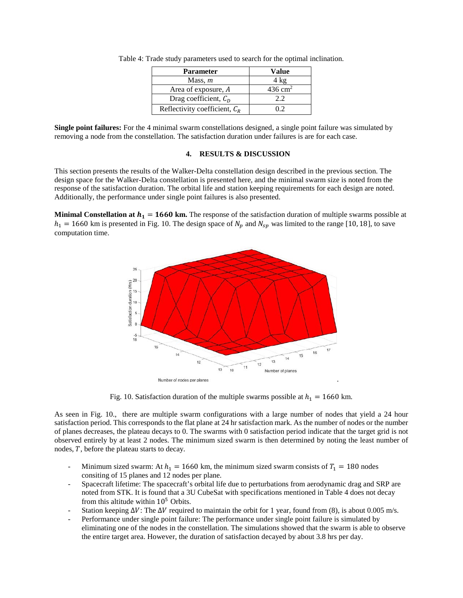| <b>Parameter</b>                | Value                 |
|---------------------------------|-----------------------|
| Mass, $m$                       | 4 kg                  |
| Area of exposure, A             | $436$ cm <sup>2</sup> |
| Drag coefficient, $CD$          | 2.2                   |
| Reflectivity coefficient, $C_R$ | ハク                    |

Table 4: Trade study parameters used to search for the optimal inclination.

**Single point failures:** For the 4 minimal swarm constellations designed, a single point failure was simulated by removing a node from the constellation. The satisfaction duration under failures is are for each case.

## **4. RESULTS & DISCUSSION**

This section presents the results of the Walker-Delta constellation design described in the previous section. The design space for the Walker-Delta constellation is presented here, and the minimal swarm size is noted from the response of the satisfaction duration. The orbital life and station keeping requirements for each design are noted. Additionally, the performance under single point failures is also presented.

**Minimal Constellation at**  $h_1 = 1660$  **km.** The response of the satisfaction duration of multiple swarms possible at  $h_1 = 1660$  km is presented in Fig. 10. The design space of  $N_p$  and  $N_{sp}$  was limited to the range [10, 18], to save computation time.



Fig. 10. Satisfaction duration of the multiple swarms possible at  $h_1 = 1660$  km.

As seen in Fig. 10., there are multiple swarm configurations with a large number of nodes that yield a 24 hour satisfaction period. This corresponds to the flat plane at 24 hr satisfaction mark. As the number of nodes or the number of planes decreases, the plateau decays to 0. The swarms with 0 satisfaction period indicate that the target grid is not observed entirely by at least 2 nodes. The minimum sized swarm is then determined by noting the least number of nodes,  $T$ , before the plateau starts to decay.

- Minimum sized swarm: At  $h_1 = 1660$  km, the minimum sized swarm consists of  $T_1 = 180$  nodes consiting of 15 planes and 12 nodes per plane.
- Spacecraft lifetime: The spacecraft's orbital life due to perturbations from aerodynamic drag and SRP are noted from STK. It is found that a 3U CubeSat with specifications mentioned in Table 4 does not decay from this altitude within  $10<sup>5</sup>$  Orbits.
- Station keeping  $\Delta V$ : The  $\Delta V$  required to maintain the orbit for 1 year, found from (8), is about 0.005 m/s.
- Performance under single point failure: The performance under single point failure is simulated by eliminating one of the nodes in the constellation. The simulations showed that the swarm is able to observe the entire target area. However, the duration of satisfaction decayed by about 3.8 hrs per day.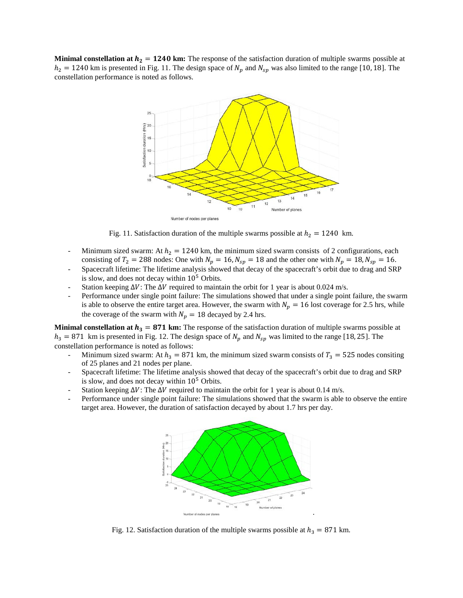**Minimal constellation at**  $h_2 = 1240$  **km:** The response of the satisfaction duration of multiple swarms possible at  $h_2 = 1240$  km is presented in Fig. 11. The design space of  $N_p$  and  $N_{sp}$  was also limited to the range [10, 18]. The constellation performance is noted as follows.



Fig. 11. Satisfaction duration of the multiple swarms possible at  $h_2 = 1240 \text{ km}$ .

- Minimum sized swarm: At  $h_2 = 1240$  km, the minimum sized swarm consists of 2 configurations, each consisting of  $T_2 = 288$  nodes: One with  $N_p = 16$ ,  $N_{sp} = 18$  and the other one with  $N_p = 18$ ,  $N_{sp} = 16$ .
- Spacecraft lifetime: The lifetime analysis showed that decay of the spacecraft's orbit due to drag and SRP is slow, and does not decay within 10<sup>5</sup> Orbits.
- Station keeping  $\Delta V$ : The  $\Delta V$  required to maintain the orbit for 1 year is about 0.024 m/s.
- Performance under single point failure: The simulations showed that under a single point failure, the swarm is able to observe the entire target area. However, the swarm with  $N_p = 16$  lost coverage for 2.5 hrs, while the coverage of the swarm with  $N_p = 18$  decayed by 2.4 hrs.

**Minimal constellation at**  $h_3 = 871$  **km:** The response of the satisfaction duration of multiple swarms possible at  $h_3 = 871$  km is presented in Fig. 12. The design space of  $N_p$  and  $N_{sp}$  was limited to the range [18, 25]. The constellation performance is noted as follows:

- Minimum sized swarm: At  $h_3 = 871$  km, the minimum sized swarm consists of  $T_3 = 525$  nodes consiting of 25 planes and 21 nodes per plane.
- Spacecraft lifetime: The lifetime analysis showed that decay of the spacecraft's orbit due to drag and SRP is slow, and does not decay within  $10^5$  Orbits.
- Station keeping  $\Delta V$ : The  $\Delta V$  required to maintain the orbit for 1 year is about 0.14 m/s.
- Performance under single point failure: The simulations showed that the swarm is able to observe the entire target area. However, the duration of satisfaction decayed by about 1.7 hrs per day.



Fig. 12. Satisfaction duration of the multiple swarms possible at  $h_3 = 871$  km.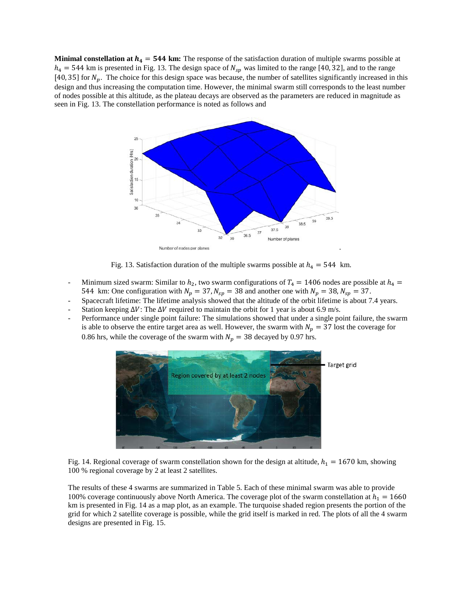**Minimal constellation at**  $h_4 = 544$  **km:** The response of the satisfaction duration of multiple swarms possible at  $h_4 = 544$  km is presented in Fig. 13. The design space of  $N_{sp}$  was limited to the range [40, 32], and to the range [40, 35] for  $N_p$ . The choice for this design space was because, the number of satellites significantly increased in this design and thus increasing the computation time. However, the minimal swarm still corresponds to the least number of nodes possible at this altitude, as the plateau decays are observed as the parameters are reduced in magnitude as seen in Fig. 13. The constellation performance is noted as follows and



Fig. 13. Satisfaction duration of the multiple swarms possible at  $h_4 = 544$  km.

- Minimum sized swarm: Similar to  $h_2$ , two swarm configurations of  $T_4 = 1406$  nodes are possible at  $h_4 =$ 544 km: One configuration with  $N_p = 37$ ,  $N_{sp} = 38$  and another one with  $N_p = 38$ ,  $N_{sp} = 37$ .
- Spacecraft lifetime: The lifetime analysis showed that the altitude of the orbit lifetime is about 7.4 years.
- Station keeping  $\Delta V$ : The  $\Delta V$  required to maintain the orbit for 1 year is about 6.9 m/s.
- Performance under single point failure: The simulations showed that under a single point failure, the swarm is able to observe the entire target area as well. However, the swarm with  $N_p = 37$  lost the coverage for 0.86 hrs, while the coverage of the swarm with  $N_p = 38$  decayed by 0.97 hrs.



Fig. 14. Regional coverage of swarm constellation shown for the design at altitude,  $h_1 = 1670$  km, showing 100 % regional coverage by 2 at least 2 satellites.

The results of these 4 swarms are summarized in Table 5. Each of these minimal swarm was able to provide 100% coverage continuously above North America. The coverage plot of the swarm constellation at  $h_1 = 1660$ km is presented in Fig. 14 as a map plot, as an example. The turquoise shaded region presents the portion of the grid for which 2 satellite coverage is possible, while the grid itself is marked in red. The plots of all the 4 swarm designs are presented in Fig. 15.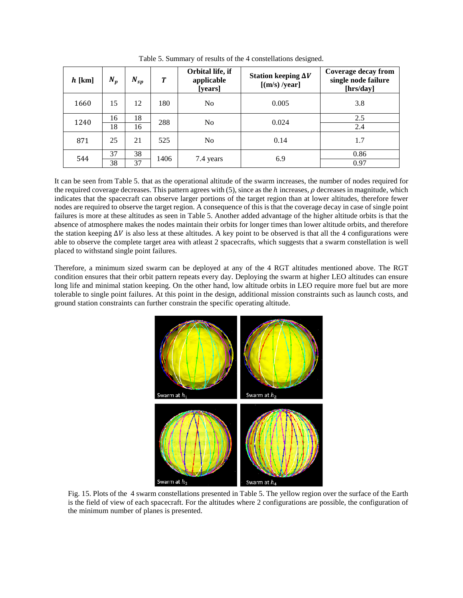| $h$ [km] | $N_p$    | $N_{sp}$ | T    | Orbital life, if<br>applicable<br>[years] | Station keeping $\Delta V$<br>[(m/s)/year] | Coverage decay from<br>single node failure<br>[hrs/day] |
|----------|----------|----------|------|-------------------------------------------|--------------------------------------------|---------------------------------------------------------|
| 1660     | 15       | 12       | 180  | N <sub>o</sub>                            | 0.005                                      | 3.8                                                     |
| 1240     | 16<br>18 | 18<br>16 | 288  | N <sub>0</sub>                            | 0.024                                      | 2.5<br>2.4                                              |
|          |          |          |      |                                           |                                            |                                                         |
| 871      | 25       | 21       | 525  | No                                        | 0.14                                       | 1.7                                                     |
| 544      | 37       | 38       | 1406 | 7.4 years                                 | 6.9                                        | 0.86                                                    |
|          | 38       | 37       |      |                                           |                                            | 0.97                                                    |

Table 5. Summary of results of the 4 constellations designed.

It can be seen from Table 5. that as the operational altitude of the swarm increases, the number of nodes required for the required coverage decreases. This pattern agrees with  $(5)$ , since as the  $h$  increases,  $\rho$  decreases in magnitude, which indicates that the spacecraft can observe larger portions of the target region than at lower altitudes, therefore fewer nodes are required to observe the target region. A consequence of this is that the coverage decay in case of single point failures is more at these altitudes as seen in Table 5. Another added advantage of the higher altitude orbits is that the absence of atmosphere makes the nodes maintain their orbits for longer times than lower altitude orbits, and therefore the station keeping  $\Delta V$  is also less at these altitudes. A key point to be observed is that all the 4 configurations were able to observe the complete target area with atleast 2 spacecrafts, which suggests that a swarm constellation is well placed to withstand single point failures.

Therefore, a minimum sized swarm can be deployed at any of the 4 RGT altitudes mentioned above. The RGT condition ensures that their orbit pattern repeats every day. Deploying the swarm at higher LEO altitudes can ensure long life and minimal station keeping. On the other hand, low altitude orbits in LEO require more fuel but are more tolerable to single point failures. At this point in the design, additional mission constraints such as launch costs, and ground station constraints can further constrain the specific operating altitude.



Fig. 15. Plots of the 4 swarm constellations presented in Table 5. The yellow region over the surface of the Earth is the field of view of each spacecraft. For the altitudes where 2 configurations are possible, the configuration of the minimum number of planes is presented.